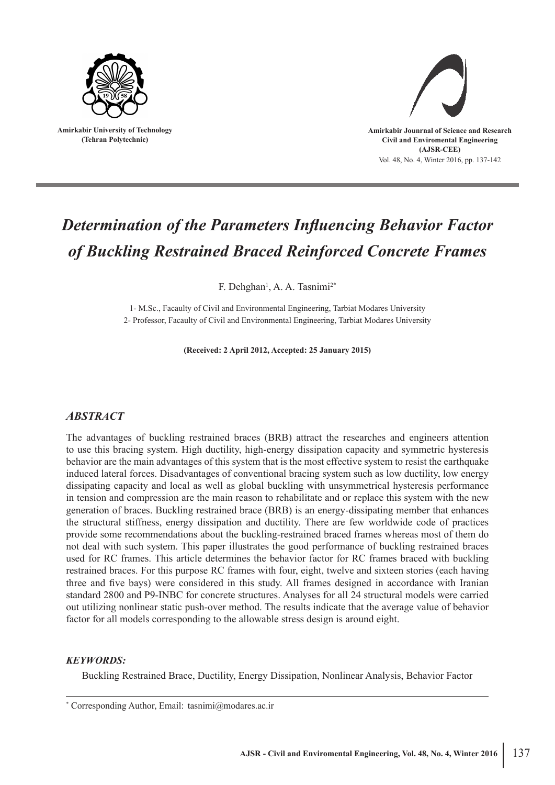

**Amirkabir University of Technology (Tehran Polytechnic)**



# *Determination of the Parameters Influencing Behavior Factor of Buckling Restrained Braced Reinforced Concrete Frames*

F. Dehghan<sup>1</sup>, A. A. Tasnimi<sup>2\*</sup>

1- M.Sc., Facaulty of Civil and Environmental Engineering, Tarbiat Modares University 2- Professor, Facaulty of Civil and Environmental Engineering, Tarbiat Modares University

**(Received: 2 April 2012, Accepted: 25 January 2015)**

# *ABSTRACT*

The advantages of buckling restrained braces (BRB) attract the researches and engineers attention to use this bracing system. High ductility, high-energy dissipation capacity and symmetric hysteresis behavior are the main advantages of this system that is the most effective system to resist the earthquake induced lateral forces. Disadvantages of conventional bracing system such as low ductility, low energy dissipating capacity and local as well as global buckling with unsymmetrical hysteresis performance in tension and compression are the main reason to rehabilitate and or replace this system with the new generation of braces. Buckling restrained brace (BRB) is an energy-dissipating member that enhances the structural stiffness, energy dissipation and ductility. There are few worldwide code of practices provide some recommendations about the buckling-restrained braced frames whereas most of them do not deal with such system. This paper illustrates the good performance of buckling restrained braces used for RC frames. This article determines the behavior factor for RC frames braced with buckling restrained braces. For this purpose RC frames with four, eight, twelve and sixteen stories (each having three and five bays) were considered in this study. All frames designed in accordance with Iranian standard 2800 and P9-INBC for concrete structures. Analyses for all 24 structural models were carried out utilizing nonlinear static push-over method. The results indicate that the average value of behavior factor for all models corresponding to the allowable stress design is around eight.

#### *KEYWORDS:*

Buckling Restrained Brace, Ductility, Energy Dissipation, Nonlinear Analysis, Behavior Factor

<sup>\*</sup> Corresponding Author, Email: tasnimi@modares.ac.ir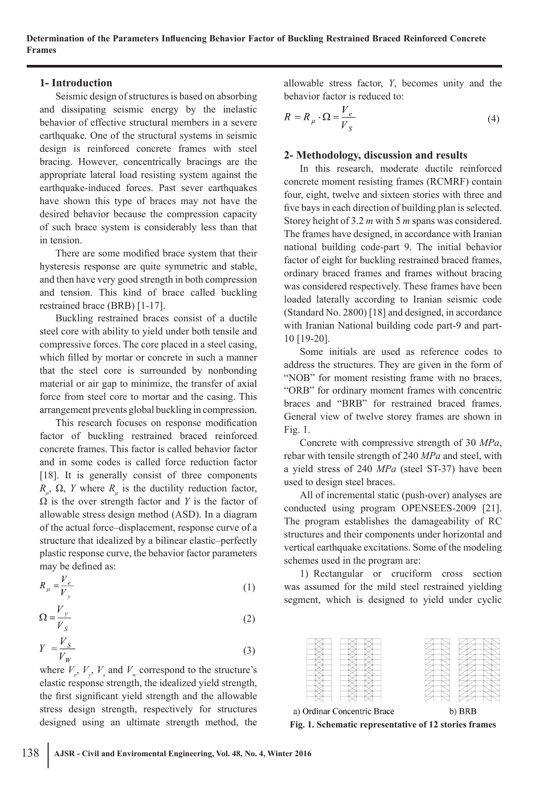# **1- Introduction**

Seismic design of structures is based on absorbing and dissipating seismic energy by the inelastic behavior of effective structural members in a severe earthquake. One of the structural systems in seismic design is reinforced concrete frames with steel bracing. However, concentrically bracings are the appropriate lateral load resisting system against the earthquake-induced forces. Past sever earthquakes have shown this type of braces may not have the desired behavior because the compression capacity of such brace system is considerably less than that in tension.

There are some modified brace system that their hysteresis response are quite symmetric and stable, and then have very good strength in both compression and tension. This kind of brace called buckling restrained brace (BRB) [1-17].

Buckling restrained braces consist of a ductile steel core with ability to yield under both tensile and compressive forces. The core placed in a steel casing, which filled by mortar or concrete in such a manner that the steel core is surrounded by nonbonding material or air gap to minimize, the transfer of axial force from steel core to mortar and the casing. This arrangement prevents global buckling in compression.

This research focuses on response modification factor of buckling restrained braced reinforced concrete frames. This factor is called behavior factor and in some codes is called force reduction factor [18]. It is generally consist of three components *R<sub>μ</sub>*, Ω, *Y* where *R<sub>μ</sub>* is the ductility reduction factor,  $\Omega$  is the over strength factor and *Y* is the factor of allowable stress design method (ASD). In a diagram of the actual force–displacement, response curve of a structure that idealized by a bilinear elastic–perfectly plastic response curve, the behavior factor parameters may be defined as:

$$
R_{\mu} = \frac{V_e}{V_y} \tag{1}
$$

$$
\Omega = \frac{V_y}{V_s} \tag{2}
$$

$$
Y = \frac{V_S}{V_W} \tag{3}
$$

where  $V_e$ ,  $V_y$ ,  $V_s$  and  $V_w$  correspond to the structure's elastic response strength, the idealized yield strength, the first significant yield strength and the allowable stress design strength, respectively for structures designed using an ultimate strength method, the

allowable stress factor, *Y*, becomes unity and the behavior factor is reduced to:

$$
R = R_{\mu} \cdot \Omega = \frac{V_e}{V_s} \tag{4}
$$

# **2- Methodology, discussion and results**

In this research, moderate ductile reinforced concrete moment resisting frames (RCMRF) contain four, eight, twelve and sixteen stories with three and five bays in each direction of building plan is selected. Storey height of 3.2 *m* with 5 *m* spans was considered. The frames have designed, in accordance with Iranian national building code-part 9. The initial behavior factor of eight for buckling restrained braced frames, ordinary braced frames and frames without bracing was considered respectively. These frames have been loaded laterally according to Iranian seismic code (Standard No. 2800) [18] and designed, in accordance with Iranian National building code part-9 and part-10 [19-20].

Some initials are used as reference codes to address the structures. They are given in the form of "NOB" for moment resisting frame with no braces, "ORB" for ordinary moment frames with concentric braces and "BRB" for restrained braced frames. General view of twelve storey frames are shown in Fig. 1.

Concrete with compressive strength of 30 *MPa*, rebar with tensile strength of 240 *MPa* and steel, with a yield stress of 240 *MPa* (steel ST-37) have been used to design steel braces.

All of incremental static (push-over) analyses are conducted using program OPENSEES-2009 [21]. The program establishes the damageability of RC structures and their components under horizontal and vertical earthquake excitations. Some of the modeling schemes used in the program are:

1) Rectangular or cruciform cross section was assumed for the mild steel restrained yielding segment, which is designed to yield under cyclic

|--|--|--|--|--|

a) Ordinar Concentric Brace

b) BRB

**Fig. 1. Schematic representative of 12 stories frames**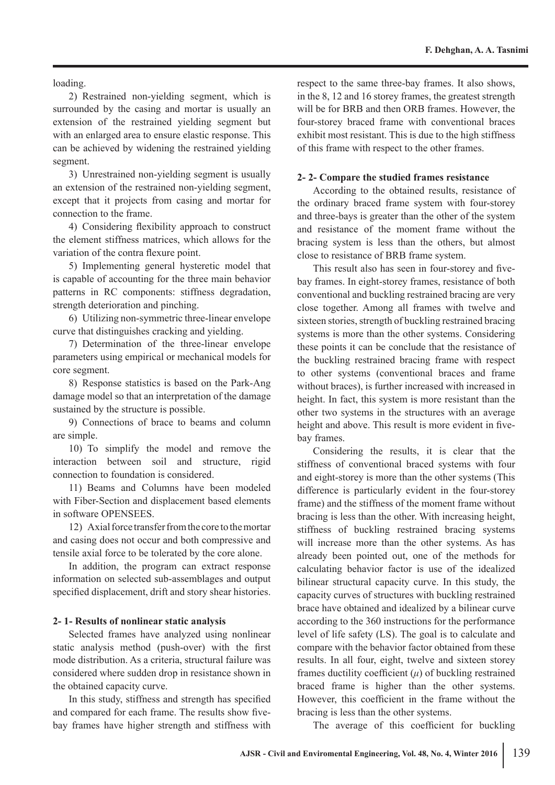loading.

2) Restrained non-yielding segment, which is surrounded by the casing and mortar is usually an extension of the restrained yielding segment but with an enlarged area to ensure elastic response. This can be achieved by widening the restrained yielding segment.

3) Unrestrained non-yielding segment is usually an extension of the restrained non-yielding segment, except that it projects from casing and mortar for connection to the frame.

4) Considering flexibility approach to construct the element stiffness matrices, which allows for the variation of the contra flexure point.

5) Implementing general hysteretic model that is capable of accounting for the three main behavior patterns in RC components: stiffness degradation, strength deterioration and pinching.

6) Utilizing non-symmetric three-linear envelope curve that distinguishes cracking and yielding.

7) Determination of the three-linear envelope parameters using empirical or mechanical models for core segment.

8) Response statistics is based on the Park-Ang damage model so that an interpretation of the damage sustained by the structure is possible.

9) Connections of brace to beams and column are simple.

10) To simplify the model and remove the interaction between soil and structure, rigid connection to foundation is considered.

11) Beams and Columns have been modeled with Fiber-Section and displacement based elements in software OPENSEES.

12) Axial force transfer from the core to the mortar and casing does not occur and both compressive and tensile axial force to be tolerated by the core alone.

In addition, the program can extract response information on selected sub-assemblages and output specified displacement, drift and story shear histories.

#### **2- 1- Results of nonlinear static analysis**

Selected frames have analyzed using nonlinear static analysis method (push-over) with the first mode distribution. As a criteria, structural failure was considered where sudden drop in resistance shown in the obtained capacity curve.

In this study, stiffness and strength has specified and compared for each frame. The results show fivebay frames have higher strength and stiffness with

respect to the same three-bay frames. It also shows, in the 8, 12 and 16 storey frames, the greatest strength will be for BRB and then ORB frames. However, the four-storey braced frame with conventional braces exhibit most resistant. This is due to the high stiffness of this frame with respect to the other frames.

#### **2- 2- Compare the studied frames resistance**

According to the obtained results, resistance of the ordinary braced frame system with four-storey and three-bays is greater than the other of the system and resistance of the moment frame without the bracing system is less than the others, but almost close to resistance of BRB frame system.

This result also has seen in four-storey and fivebay frames. In eight-storey frames, resistance of both conventional and buckling restrained bracing are very close together. Among all frames with twelve and sixteen stories, strength of buckling restrained bracing systems is more than the other systems. Considering these points it can be conclude that the resistance of the buckling restrained bracing frame with respect to other systems (conventional braces and frame without braces), is further increased with increased in height. In fact, this system is more resistant than the other two systems in the structures with an average height and above. This result is more evident in fivebay frames.

Considering the results, it is clear that the stiffness of conventional braced systems with four and eight-storey is more than the other systems (This difference is particularly evident in the four-storey frame) and the stiffness of the moment frame without bracing is less than the other. With increasing height, stiffness of buckling restrained bracing systems will increase more than the other systems. As has already been pointed out, one of the methods for calculating behavior factor is use of the idealized bilinear structural capacity curve. In this study, the capacity curves of structures with buckling restrained brace have obtained and idealized by a bilinear curve according to the 360 instructions for the performance level of life safety (LS). The goal is to calculate and compare with the behavior factor obtained from these results. In all four, eight, twelve and sixteen storey frames ductility coefficient (*μ*) of buckling restrained braced frame is higher than the other systems. However, this coefficient in the frame without the bracing is less than the other systems.

The average of this coefficient for buckling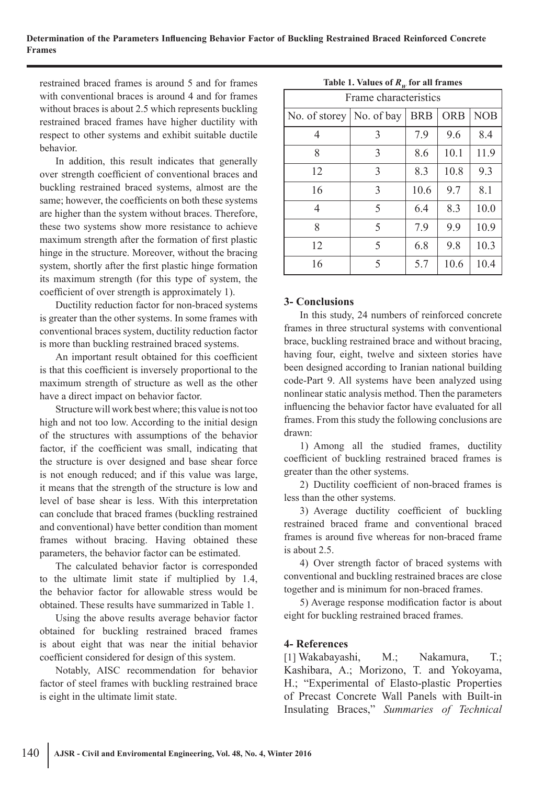#### **Determination of the Parameters Influencing Behavior Factor of Buckling Restrained Braced Reinforced Concrete Frames**

restrained braced frames is around 5 and for frames with conventional braces is around 4 and for frames without braces is about 2.5 which represents buckling restrained braced frames have higher ductility with respect to other systems and exhibit suitable ductile behavior.

In addition, this result indicates that generally over strength coefficient of conventional braces and buckling restrained braced systems, almost are the same; however, the coefficients on both these systems are higher than the system without braces. Therefore, these two systems show more resistance to achieve maximum strength after the formation of first plastic hinge in the structure. Moreover, without the bracing system, shortly after the first plastic hinge formation its maximum strength (for this type of system, the coefficient of over strength is approximately 1).

Ductility reduction factor for non-braced systems is greater than the other systems. In some frames with conventional braces system, ductility reduction factor is more than buckling restrained braced systems.

An important result obtained for this coefficient is that this coefficient is inversely proportional to the maximum strength of structure as well as the other have a direct impact on behavior factor.

Structure will work best where; this value is not too high and not too low. According to the initial design of the structures with assumptions of the behavior factor, if the coefficient was small, indicating that the structure is over designed and base shear force is not enough reduced; and if this value was large, it means that the strength of the structure is low and level of base shear is less. With this interpretation can conclude that braced frames (buckling restrained and conventional) have better condition than moment frames without bracing. Having obtained these parameters, the behavior factor can be estimated.

The calculated behavior factor is corresponded to the ultimate limit state if multiplied by 1.4, the behavior factor for allowable stress would be obtained. These results have summarized in Table 1.

Using the above results average behavior factor obtained for buckling restrained braced frames is about eight that was near the initial behavior coefficient considered for design of this system.

Notably, AISC recommendation for behavior factor of steel frames with buckling restrained brace is eight in the ultimate limit state.

| - W<br>Frame characteristics |            |            |            |            |  |  |
|------------------------------|------------|------------|------------|------------|--|--|
| No. of storey                | No. of bay | <b>BRB</b> | <b>ORB</b> | <b>NOB</b> |  |  |
| 4                            | 3          | 7.9        | 9.6        | 8.4        |  |  |
| 8                            | 3          | 8.6        | 10.1       | 11.9       |  |  |
| 12                           | 3          | 8.3        | 10.8       | 9.3        |  |  |
| 16                           | 3          | 10.6       | 9.7        | 8.1        |  |  |
| 4                            | 5          | 6.4        | 8.3        | 10.0       |  |  |
| 8                            | 5          | 7.9        | 9.9        | 10.9       |  |  |
| 12                           | 5          | 6.8        | 9.8        | 10.3       |  |  |
| 16                           | 5          | 5.7        | 10.6       | 10.4       |  |  |

## Table 1. Values of  $R<sub>m</sub>$  for all frames

## **3- Conclusions**

In this study, 24 numbers of reinforced concrete frames in three structural systems with conventional brace, buckling restrained brace and without bracing, having four, eight, twelve and sixteen stories have been designed according to Iranian national building code-Part 9. All systems have been analyzed using nonlinear static analysis method. Then the parameters influencing the behavior factor have evaluated for all frames. From this study the following conclusions are drawn:

1) Among all the studied frames, ductility coefficient of buckling restrained braced frames is greater than the other systems.

2) Ductility coefficient of non-braced frames is less than the other systems.

3) Average ductility coefficient of buckling restrained braced frame and conventional braced frames is around five whereas for non-braced frame is about 2.5.

4) Over strength factor of braced systems with conventional and buckling restrained braces are close together and is minimum for non-braced frames.

5) Average response modification factor is about eight for buckling restrained braced frames.

#### **4- References**

[1] Wakabayashi, M.; Nakamura, T.; Kashibara, A.; Morizono, T. and Yokoyama, H.; "Experimental of Elasto-plastic Properties of Precast Concrete Wall Panels with Built-in Insulating Braces," *Summaries of Technical*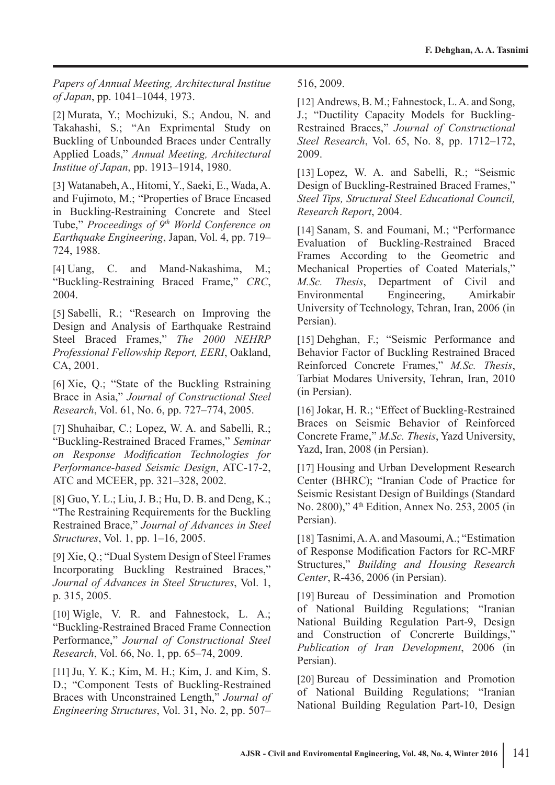*Papers of Annual Meeting, Architectural Institue of Japan*, pp. 1041–1044, 1973.

[2] Murata, Y.; Mochizuki, S.; Andou, N. and Takahashi, S.; "An Exprimental Study on Buckling of Unbounded Braces under Centrally Applied Loads," *Annual Meeting, Architectural Institue of Japan*, pp. 1913–1914, 1980.

[3] Watanabeh, A., Hitomi, Y., Saeki, E., Wada, A. and Fujimoto, M.; "Properties of Brace Encased in Buckling-Restraining Concrete and Steel Tube," *Proceedings of 9th World Conference on Earthquake Engineering*, Japan, Vol. 4, pp. 719– 724, 1988.

[4] Uang, C. and Mand-Nakashima, M.; "Buckling-Restraining Braced Frame," *CRC*, 2004.

[5] Sabelli, R.; "Research on Improving the Design and Analysis of Earthquake Restraind Steel Braced Frames," *The 2000 NEHRP Professional Fellowship Report, EERI*, Oakland, CA, 2001.

[6] Xie, Q.; "State of the Buckling Rstraining Brace in Asia," *Journal of Constructional Steel Research*, Vol. 61, No. 6, pp. 727–774, 2005.

[7] Shuhaibar, C.; Lopez, W. A. and Sabelli, R.; "Buckling-Restrained Braced Frames," *Seminar on Response Modification Technologies for Performance-based Seismic Design*, ATC-17-2, ATC and MCEER, pp. 321–328, 2002.

[8] Guo, Y. L.; Liu, J. B.; Hu, D. B. and Deng, K.; "The Restraining Requirements for the Buckling Restrained Brace," *Journal of Advances in Steel Structures*, Vol. 1, pp. 1–16, 2005.

[9] Xie, Q.; "Dual System Design of Steel Frames Incorporating Buckling Restrained Braces," *Journal of Advances in Steel Structures*, Vol. 1, p. 315, 2005.

[10] Wigle, V. R. and Fahnestock, L. A.; "Buckling-Restrained Braced Frame Connection Performance," *Journal of Constructional Steel Research*, Vol. 66, No. 1, pp. 65–74, 2009.

[11] Ju, Y. K.; Kim, M. H.; Kim, J. and Kim, S. D.; "Component Tests of Buckling-Restrained Braces with Unconstrained Length," *Journal of Engineering Structures*, Vol. 31, No. 2, pp. 507–

516, 2009.

[12] Andrews, B. M.; Fahnestock, L. A. and Song, J.; "Ductility Capacity Models for Buckling-Restrained Braces," *Journal of Constructional Steel Research*, Vol. 65, No. 8, pp. 1712–172, 2009.

[13] Lopez, W. A. and Sabelli, R.; "Seismic Design of Buckling-Restrained Braced Frames," *Steel Tips, Structural Steel Educational Council, Research Report*, 2004.

[14] Sanam, S. and Foumani, M.; "Performance Evaluation of Buckling-Restrained Braced Frames According to the Geometric and Mechanical Properties of Coated Materials," *M.Sc. Thesis*, Department of Civil and Environmental Engineering, Amirkabir University of Technology, Tehran, Iran, 2006 (in Persian).

[15] Dehghan, F.; "Seismic Performance and Behavior Factor of Buckling Restrained Braced Reinforced Concrete Frames," *M.Sc. Thesis*, Tarbiat Modares University, Tehran, Iran, 2010 (in Persian).

[16] Jokar, H. R.; "Effect of Buckling-Restrained Braces on Seismic Behavior of Reinforced Concrete Frame," *M.Sc. Thesis*, Yazd University, Yazd, Iran, 2008 (in Persian).

[17] Housing and Urban Development Research Center (BHRC); "Iranian Code of Practice for Seismic Resistant Design of Buildings (Standard No. 2800)," 4th Edition, Annex No. 253, 2005 (in Persian).

[18] Tasnimi, A. A. and Masoumi, A.; "Estimation of Response Modification Factors for RC-MRF Structures," *Building and Housing Research Center*, R-436, 2006 (in Persian).

[19] Bureau of Dessimination and Promotion of National Building Regulations; "Iranian National Building Regulation Part-9, Design and Construction of Concrerte Buildings," *Publication of Iran Development*, 2006 (in Persian).

[20] Bureau of Dessimination and Promotion of National Building Regulations; "Iranian National Building Regulation Part-10, Design